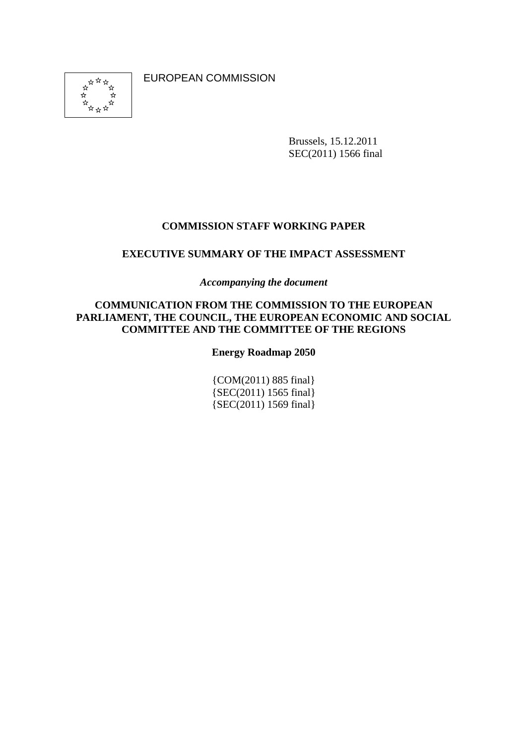EUROPEAN COMMISSION



Brussels, 15.12.2011 SEC(2011) 1566 final

## **COMMISSION STAFF WORKING PAPER**

#### **EXECUTIVE SUMMARY OF THE IMPACT ASSESSMENT**

*Accompanying the document* 

#### **COMMUNICATION FROM THE COMMISSION TO THE EUROPEAN PARLIAMENT, THE COUNCIL, THE EUROPEAN ECONOMIC AND SOCIAL COMMITTEE AND THE COMMITTEE OF THE REGIONS**

#### **Energy Roadmap 2050**

{COM(2011) 885 final} {SEC(2011) 1565 final} {SEC(2011) 1569 final}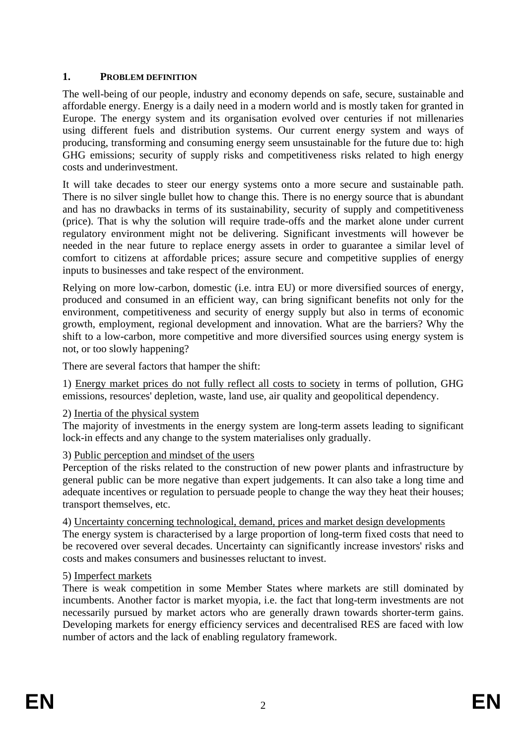# **1. PROBLEM DEFINITION**

The well-being of our people, industry and economy depends on safe, secure, sustainable and affordable energy. Energy is a daily need in a modern world and is mostly taken for granted in Europe. The energy system and its organisation evolved over centuries if not millenaries using different fuels and distribution systems. Our current energy system and ways of producing, transforming and consuming energy seem unsustainable for the future due to: high GHG emissions; security of supply risks and competitiveness risks related to high energy costs and underinvestment.

It will take decades to steer our energy systems onto a more secure and sustainable path. There is no silver single bullet how to change this. There is no energy source that is abundant and has no drawbacks in terms of its sustainability, security of supply and competitiveness (price). That is why the solution will require trade-offs and the market alone under current regulatory environment might not be delivering. Significant investments will however be needed in the near future to replace energy assets in order to guarantee a similar level of comfort to citizens at affordable prices; assure secure and competitive supplies of energy inputs to businesses and take respect of the environment.

Relying on more low-carbon, domestic (i.e. intra EU) or more diversified sources of energy, produced and consumed in an efficient way, can bring significant benefits not only for the environment, competitiveness and security of energy supply but also in terms of economic growth, employment, regional development and innovation. What are the barriers? Why the shift to a low-carbon, more competitive and more diversified sources using energy system is not, or too slowly happening?

There are several factors that hamper the shift:

1) Energy market prices do not fully reflect all costs to society in terms of pollution, GHG emissions, resources' depletion, waste, land use, air quality and geopolitical dependency.

## 2) Inertia of the physical system

The majority of investments in the energy system are long-term assets leading to significant lock-in effects and any change to the system materialises only gradually.

## 3) Public perception and mindset of the users

Perception of the risks related to the construction of new power plants and infrastructure by general public can be more negative than expert judgements. It can also take a long time and adequate incentives or regulation to persuade people to change the way they heat their houses; transport themselves, etc.

4) Uncertainty concerning technological, demand, prices and market design developments The energy system is characterised by a large proportion of long-term fixed costs that need to be recovered over several decades. Uncertainty can significantly increase investors' risks and costs and makes consumers and businesses reluctant to invest.

## 5) Imperfect markets

There is weak competition in some Member States where markets are still dominated by incumbents. Another factor is market myopia, i.e. the fact that long-term investments are not necessarily pursued by market actors who are generally drawn towards shorter-term gains. Developing markets for energy efficiency services and decentralised RES are faced with low number of actors and the lack of enabling regulatory framework.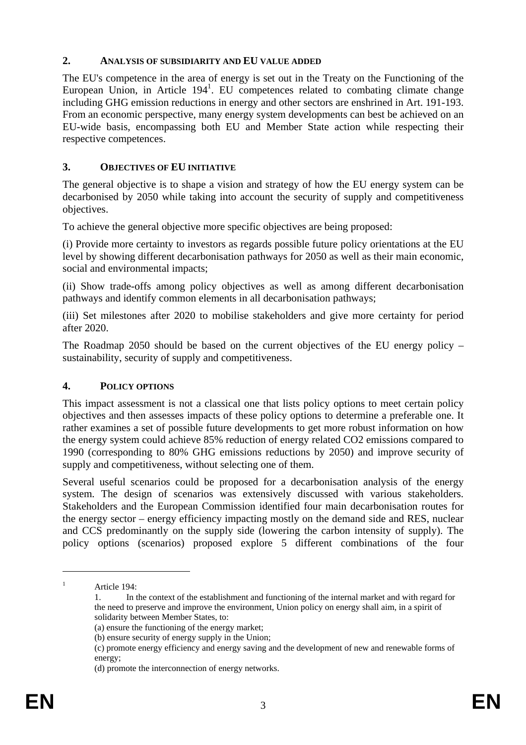#### **2. ANALYSIS OF SUBSIDIARITY AND EU VALUE ADDED**

The EU's competence in the area of energy is set out in the Treaty on the Functioning of the European Union, in Article 194<sup>1</sup>. EU competences related to combating climate change including GHG emission reductions in energy and other sectors are enshrined in Art. 191-193. From an economic perspective, many energy system developments can best be achieved on an EU-wide basis, encompassing both EU and Member State action while respecting their respective competences.

## **3. OBJECTIVES OF EU INITIATIVE**

The general objective is to shape a vision and strategy of how the EU energy system can be decarbonised by 2050 while taking into account the security of supply and competitiveness objectives.

To achieve the general objective more specific objectives are being proposed:

(i) Provide more certainty to investors as regards possible future policy orientations at the EU level by showing different decarbonisation pathways for 2050 as well as their main economic, social and environmental impacts;

(ii) Show trade-offs among policy objectives as well as among different decarbonisation pathways and identify common elements in all decarbonisation pathways;

(iii) Set milestones after 2020 to mobilise stakeholders and give more certainty for period after 2020.

The Roadmap 2050 should be based on the current objectives of the EU energy policy – sustainability, security of supply and competitiveness.

## **4. POLICY OPTIONS**

This impact assessment is not a classical one that lists policy options to meet certain policy objectives and then assesses impacts of these policy options to determine a preferable one. It rather examines a set of possible future developments to get more robust information on how the energy system could achieve 85% reduction of energy related CO2 emissions compared to 1990 (corresponding to 80% GHG emissions reductions by 2050) and improve security of supply and competitiveness, without selecting one of them.

Several useful scenarios could be proposed for a decarbonisation analysis of the energy system. The design of scenarios was extensively discussed with various stakeholders. Stakeholders and the European Commission identified four main decarbonisation routes for the energy sector – energy efficiency impacting mostly on the demand side and RES, nuclear and CCS predominantly on the supply side (lowering the carbon intensity of supply). The policy options (scenarios) proposed explore 5 different combinations of the four

1 1

Article 194:

<sup>1.</sup> In the context of the establishment and functioning of the internal market and with regard for the need to preserve and improve the environment, Union policy on energy shall aim, in a spirit of solidarity between Member States, to:

<sup>(</sup>a) ensure the functioning of the energy market;

<sup>(</sup>b) ensure security of energy supply in the Union;

<sup>(</sup>c) promote energy efficiency and energy saving and the development of new and renewable forms of energy;

<sup>(</sup>d) promote the interconnection of energy networks.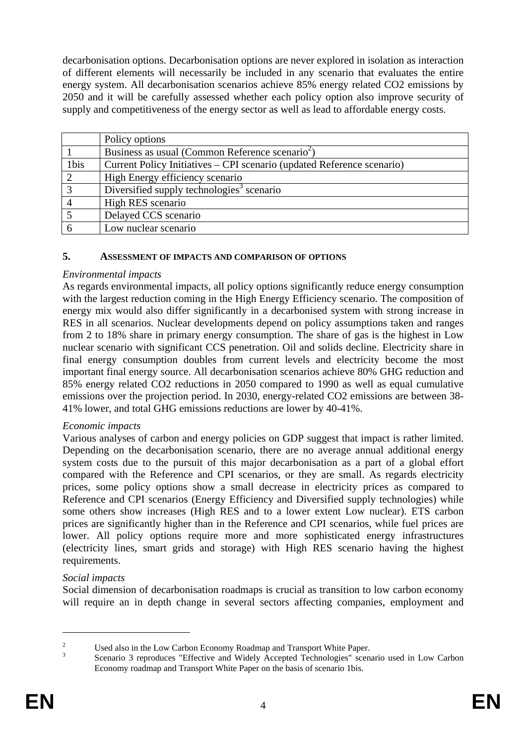decarbonisation options. Decarbonisation options are never explored in isolation as interaction of different elements will necessarily be included in any scenario that evaluates the entire energy system. All decarbonisation scenarios achieve 85% energy related CO2 emissions by 2050 and it will be carefully assessed whether each policy option also improve security of supply and competitiveness of the energy sector as well as lead to affordable energy costs.

|      | Policy options                                                         |
|------|------------------------------------------------------------------------|
|      | Business as usual (Common Reference scenario <sup>2</sup> )            |
| 1bis | Current Policy Initiatives – CPI scenario (updated Reference scenario) |
| 2    | High Energy efficiency scenario                                        |
|      | Diversified supply technologies <sup>3</sup> scenario                  |
|      | High RES scenario                                                      |
|      | Delayed CCS scenario                                                   |
|      | Low nuclear scenario                                                   |

#### **5. ASSESSMENT OF IMPACTS AND COMPARISON OF OPTIONS**

#### *Environmental impacts*

As regards environmental impacts, all policy options significantly reduce energy consumption with the largest reduction coming in the High Energy Efficiency scenario. The composition of energy mix would also differ significantly in a decarbonised system with strong increase in RES in all scenarios. Nuclear developments depend on policy assumptions taken and ranges from 2 to 18% share in primary energy consumption. The share of gas is the highest in Low nuclear scenario with significant CCS penetration. Oil and solids decline. Electricity share in final energy consumption doubles from current levels and electricity become the most important final energy source. All decarbonisation scenarios achieve 80% GHG reduction and 85% energy related CO2 reductions in 2050 compared to 1990 as well as equal cumulative emissions over the projection period. In 2030, energy-related CO2 emissions are between 38- 41% lower, and total GHG emissions reductions are lower by 40-41%.

#### *Economic impacts*

Various analyses of carbon and energy policies on GDP suggest that impact is rather limited. Depending on the decarbonisation scenario, there are no average annual additional energy system costs due to the pursuit of this major decarbonisation as a part of a global effort compared with the Reference and CPI scenarios, or they are small. As regards electricity prices, some policy options show a small decrease in electricity prices as compared to Reference and CPI scenarios (Energy Efficiency and Diversified supply technologies) while some others show increases (High RES and to a lower extent Low nuclear). ETS carbon prices are significantly higher than in the Reference and CPI scenarios, while fuel prices are lower. All policy options require more and more sophisticated energy infrastructures (electricity lines, smart grids and storage) with High RES scenario having the highest requirements.

#### *Social impacts*

Social dimension of decarbonisation roadmaps is crucial as transition to low carbon economy will require an in depth change in several sectors affecting companies, employment and

1

 $\overline{2}$ <sup>2</sup><br>Used also in the Low Carbon Economy Roadmap and Transport White Paper.

Scenario 3 reproduces "Effective and Widely Accepted Technologies" scenario used in Low Carbon Economy roadmap and Transport White Paper on the basis of scenario 1bis.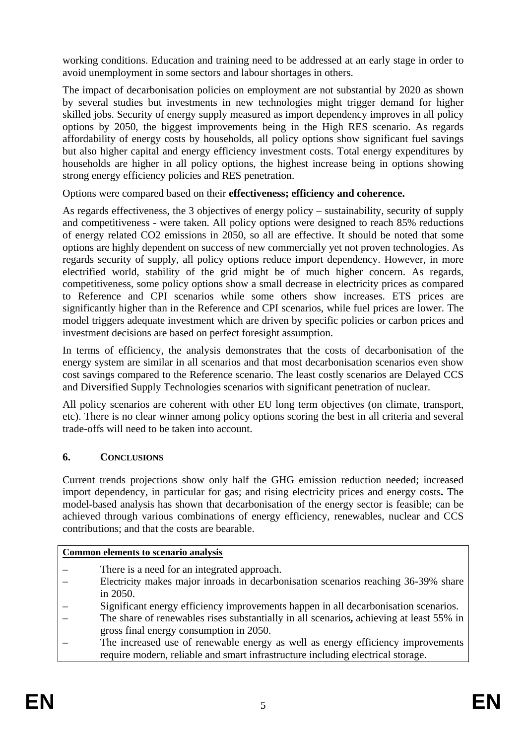working conditions. Education and training need to be addressed at an early stage in order to avoid unemployment in some sectors and labour shortages in others.

The impact of decarbonisation policies on employment are not substantial by 2020 as shown by several studies but investments in new technologies might trigger demand for higher skilled jobs. Security of energy supply measured as import dependency improves in all policy options by 2050, the biggest improvements being in the High RES scenario. As regards affordability of energy costs by households, all policy options show significant fuel savings but also higher capital and energy efficiency investment costs. Total energy expenditures by households are higher in all policy options, the highest increase being in options showing strong energy efficiency policies and RES penetration.

Options were compared based on their **effectiveness; efficiency and coherence.**

As regards effectiveness, the 3 objectives of energy policy – sustainability, security of supply and competitiveness - were taken. All policy options were designed to reach 85% reductions of energy related CO2 emissions in 2050, so all are effective. It should be noted that some options are highly dependent on success of new commercially yet not proven technologies. As regards security of supply, all policy options reduce import dependency. However, in more electrified world, stability of the grid might be of much higher concern. As regards, competitiveness, some policy options show a small decrease in electricity prices as compared to Reference and CPI scenarios while some others show increases. ETS prices are significantly higher than in the Reference and CPI scenarios, while fuel prices are lower. The model triggers adequate investment which are driven by specific policies or carbon prices and investment decisions are based on perfect foresight assumption.

In terms of efficiency, the analysis demonstrates that the costs of decarbonisation of the energy system are similar in all scenarios and that most decarbonisation scenarios even show cost savings compared to the Reference scenario. The least costly scenarios are Delayed CCS and Diversified Supply Technologies scenarios with significant penetration of nuclear.

All policy scenarios are coherent with other EU long term objectives (on climate, transport, etc). There is no clear winner among policy options scoring the best in all criteria and several trade-offs will need to be taken into account.

# **6. CONCLUSIONS**

Current trends projections show only half the GHG emission reduction needed; increased import dependency, in particular for gas; and rising electricity prices and energy costs**.** The model-based analysis has shown that decarbonisation of the energy sector is feasible; can be achieved through various combinations of energy efficiency, renewables, nuclear and CCS contributions; and that the costs are bearable.

## **Common elements to scenario analysis**

- There is a need for an integrated approach.
- Electricity makes major inroads in decarbonisation scenarios reaching 36-39% share in 2050.
- Significant energy efficiency improvements happen in all decarbonisation scenarios.
- The share of renewables rises substantially in all scenarios**,** achieving at least 55% in gross final energy consumption in 2050.
- The increased use of renewable energy as well as energy efficiency improvements require modern, reliable and smart infrastructure including electrical storage.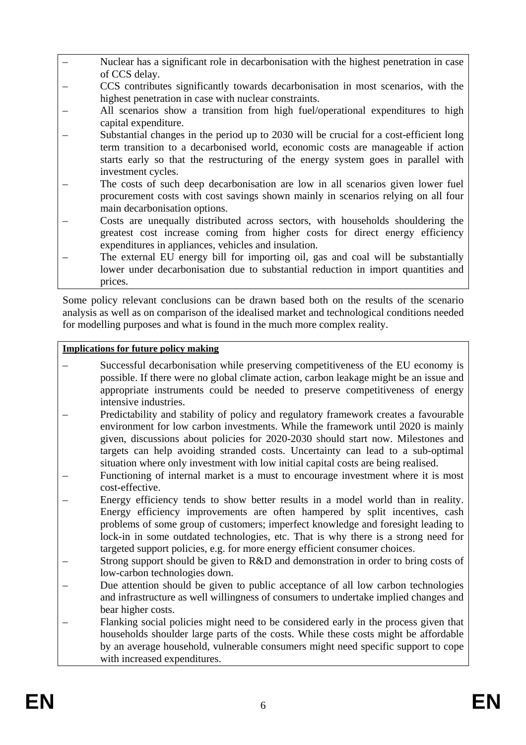- Nuclear has a significant role in decarbonisation with the highest penetration in case of CCS delay.
- CCS contributes significantly towards decarbonisation in most scenarios, with the highest penetration in case with nuclear constraints.
- All scenarios show a transition from high fuel/operational expenditures to high capital expenditure.
- Substantial changes in the period up to 2030 will be crucial for a cost-efficient long term transition to a decarbonised world, economic costs are manageable if action starts early so that the restructuring of the energy system goes in parallel with investment cycles.
- The costs of such deep decarbonisation are low in all scenarios given lower fuel procurement costs with cost savings shown mainly in scenarios relying on all four main decarbonisation options.
- Costs are unequally distributed across sectors, with households shouldering the greatest cost increase coming from higher costs for direct energy efficiency expenditures in appliances, vehicles and insulation.
- The external EU energy bill for importing oil, gas and coal will be substantially lower under decarbonisation due to substantial reduction in import quantities and prices.

Some policy relevant conclusions can be drawn based both on the results of the scenario analysis as well as on comparison of the idealised market and technological conditions needed for modelling purposes and what is found in the much more complex reality.

#### **Implications for future policy making**

- Successful decarbonisation while preserving competitiveness of the EU economy is possible. If there were no global climate action, carbon leakage might be an issue and appropriate instruments could be needed to preserve competitiveness of energy intensive industries.
- Predictability and stability of policy and regulatory framework creates a favourable environment for low carbon investments. While the framework until 2020 is mainly given, discussions about policies for 2020-2030 should start now. Milestones and targets can help avoiding stranded costs. Uncertainty can lead to a sub-optimal situation where only investment with low initial capital costs are being realised.
- Functioning of internal market is a must to encourage investment where it is most cost-effective.
- Energy efficiency tends to show better results in a model world than in reality. Energy efficiency improvements are often hampered by split incentives, cash problems of some group of customers; imperfect knowledge and foresight leading to lock-in in some outdated technologies, etc. That is why there is a strong need for targeted support policies, e.g. for more energy efficient consumer choices.
- Strong support should be given to R&D and demonstration in order to bring costs of low-carbon technologies down.
- Due attention should be given to public acceptance of all low carbon technologies and infrastructure as well willingness of consumers to undertake implied changes and bear higher costs.
- Flanking social policies might need to be considered early in the process given that households shoulder large parts of the costs. While these costs might be affordable by an average household, vulnerable consumers might need specific support to cope with increased expenditures.